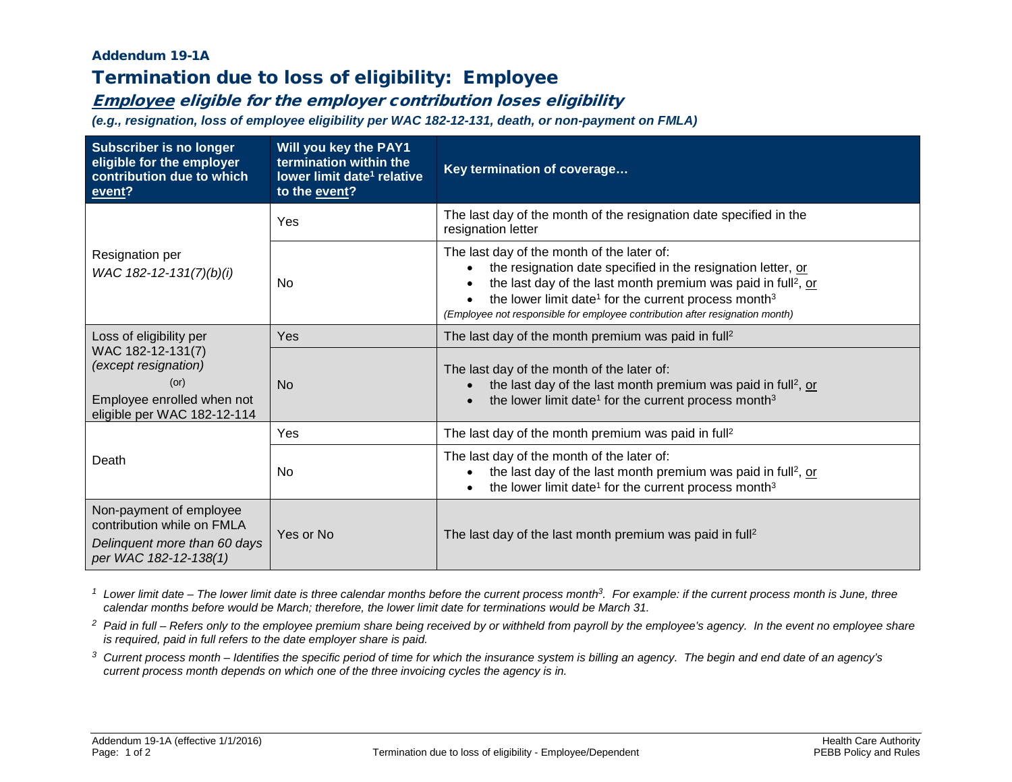## Addendum 19-1A

## Termination due to loss of eligibility: Employee

## Employee eligible for the employer contribution loses eligibility

*(e.g., resignation, loss of employee eligibility per WAC 182-12-131, death, or non-payment on FMLA)*

| <b>Subscriber is no longer</b><br>eligible for the employer<br>contribution due to which<br>event?                                        | Will you key the PAY1<br>termination within the<br>lower limit date <sup>1</sup> relative<br>to the event? | Key termination of coverage                                                                                                                                                                                                                                                                                                                             |  |
|-------------------------------------------------------------------------------------------------------------------------------------------|------------------------------------------------------------------------------------------------------------|---------------------------------------------------------------------------------------------------------------------------------------------------------------------------------------------------------------------------------------------------------------------------------------------------------------------------------------------------------|--|
| Resignation per<br>WAC 182-12-131(7)(b)(i)                                                                                                | Yes                                                                                                        | The last day of the month of the resignation date specified in the<br>resignation letter                                                                                                                                                                                                                                                                |  |
|                                                                                                                                           | <b>No</b>                                                                                                  | The last day of the month of the later of:<br>the resignation date specified in the resignation letter, or<br>the last day of the last month premium was paid in full <sup>2</sup> , or<br>the lower limit date <sup>1</sup> for the current process month <sup>3</sup><br>(Employee not responsible for employee contribution after resignation month) |  |
| Loss of eligibility per<br>WAC 182-12-131(7)<br>(except resignation)<br>(or)<br>Employee enrolled when not<br>eligible per WAC 182-12-114 | Yes                                                                                                        | The last day of the month premium was paid in full <sup>2</sup>                                                                                                                                                                                                                                                                                         |  |
|                                                                                                                                           | N <sub>o</sub>                                                                                             | The last day of the month of the later of:<br>the last day of the last month premium was paid in full <sup>2</sup> , or<br>the lower limit date <sup>1</sup> for the current process month <sup>3</sup>                                                                                                                                                 |  |
| Death                                                                                                                                     | Yes                                                                                                        | The last day of the month premium was paid in full <sup>2</sup>                                                                                                                                                                                                                                                                                         |  |
|                                                                                                                                           | No.                                                                                                        | The last day of the month of the later of:<br>the last day of the last month premium was paid in full <sup>2</sup> , or<br>the lower limit date <sup>1</sup> for the current process month <sup>3</sup>                                                                                                                                                 |  |
| Non-payment of employee<br>contribution while on FMLA<br>Delinquent more than 60 days                                                     | Yes or No                                                                                                  | The last day of the last month premium was paid in full <sup>2</sup>                                                                                                                                                                                                                                                                                    |  |
| per WAC 182-12-138(1)                                                                                                                     |                                                                                                            |                                                                                                                                                                                                                                                                                                                                                         |  |

<sup>1</sup> Lower limit date – The lower limit date is three calendar months before the current process month<sup>3</sup>. For example: if the current process month is June, three *calendar months before would be March; therefore, the lower limit date for terminations would be March 31.*

- <sup>2</sup> Paid in full Refers only to the employee premium share being received by or withheld from payroll by the employee's agency. In the event no employee share *is required, paid in full refers to the date employer share is paid.*
- *<sup>3</sup> Current process month – Identifies the specific period of time for which the insurance system is billing an agency. The begin and end date of an agency's current process month depends on which one of the three invoicing cycles the agency is in.*